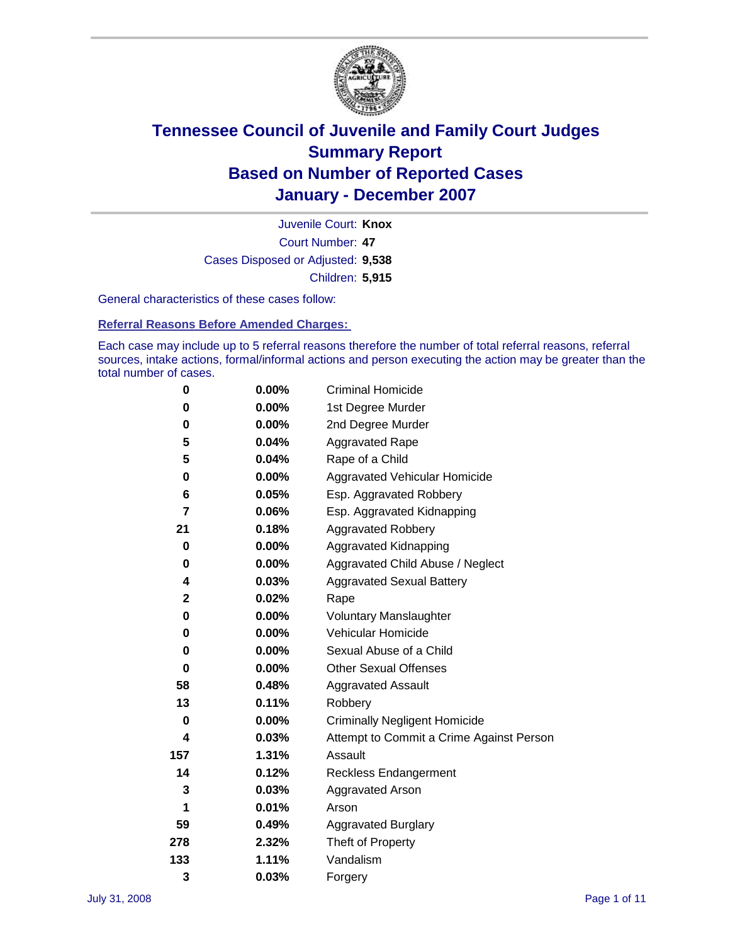

Court Number: **47** Juvenile Court: **Knox** Cases Disposed or Adjusted: **9,538** Children: **5,915**

General characteristics of these cases follow:

**Referral Reasons Before Amended Charges:** 

Each case may include up to 5 referral reasons therefore the number of total referral reasons, referral sources, intake actions, formal/informal actions and person executing the action may be greater than the total number of cases.

| 0           | $0.00\%$ | <b>Criminal Homicide</b>                 |
|-------------|----------|------------------------------------------|
| 0           | 0.00%    | 1st Degree Murder                        |
| 0           | $0.00\%$ | 2nd Degree Murder                        |
| 5           | 0.04%    | <b>Aggravated Rape</b>                   |
| 5           | 0.04%    | Rape of a Child                          |
| 0           | 0.00%    | Aggravated Vehicular Homicide            |
| 6           | 0.05%    | Esp. Aggravated Robbery                  |
| 7           | 0.06%    | Esp. Aggravated Kidnapping               |
| 21          | 0.18%    | <b>Aggravated Robbery</b>                |
| 0           | $0.00\%$ | Aggravated Kidnapping                    |
| 0           | $0.00\%$ | Aggravated Child Abuse / Neglect         |
| 4           | 0.03%    | <b>Aggravated Sexual Battery</b>         |
| $\mathbf 2$ | 0.02%    | Rape                                     |
| 0           | 0.00%    | <b>Voluntary Manslaughter</b>            |
| 0           | 0.00%    | Vehicular Homicide                       |
| 0           | 0.00%    | Sexual Abuse of a Child                  |
| 0           | $0.00\%$ | <b>Other Sexual Offenses</b>             |
| 58          | 0.48%    | <b>Aggravated Assault</b>                |
| 13          | 0.11%    | Robbery                                  |
| 0           | 0.00%    | <b>Criminally Negligent Homicide</b>     |
| 4           | 0.03%    | Attempt to Commit a Crime Against Person |
| 157         | 1.31%    | Assault                                  |
| 14          | 0.12%    | <b>Reckless Endangerment</b>             |
| 3           | 0.03%    | <b>Aggravated Arson</b>                  |
| 1           | 0.01%    | Arson                                    |
| 59          | 0.49%    | Aggravated Burglary                      |
| 278         | 2.32%    | Theft of Property                        |
| 133         | 1.11%    | Vandalism                                |
| 3           | 0.03%    | Forgery                                  |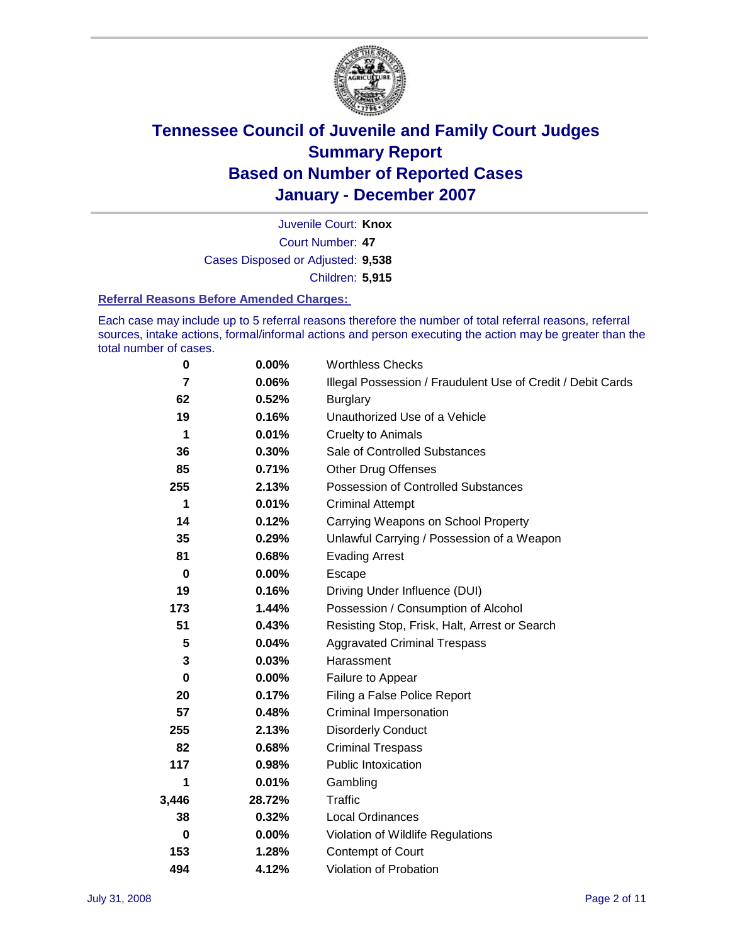

Court Number: **47** Juvenile Court: **Knox** Cases Disposed or Adjusted: **9,538** Children: **5,915**

#### **Referral Reasons Before Amended Charges:**

Each case may include up to 5 referral reasons therefore the number of total referral reasons, referral sources, intake actions, formal/informal actions and person executing the action may be greater than the total number of cases.

| 0     | 0.00%    | <b>Worthless Checks</b>                                     |
|-------|----------|-------------------------------------------------------------|
| 7     | 0.06%    | Illegal Possession / Fraudulent Use of Credit / Debit Cards |
| 62    | 0.52%    | <b>Burglary</b>                                             |
| 19    | 0.16%    | Unauthorized Use of a Vehicle                               |
| 1     | 0.01%    | <b>Cruelty to Animals</b>                                   |
| 36    | 0.30%    | Sale of Controlled Substances                               |
| 85    | 0.71%    | <b>Other Drug Offenses</b>                                  |
| 255   | 2.13%    | <b>Possession of Controlled Substances</b>                  |
| 1     | 0.01%    | <b>Criminal Attempt</b>                                     |
| 14    | 0.12%    | Carrying Weapons on School Property                         |
| 35    | 0.29%    | Unlawful Carrying / Possession of a Weapon                  |
| 81    | 0.68%    | <b>Evading Arrest</b>                                       |
| 0     | 0.00%    | Escape                                                      |
| 19    | 0.16%    | Driving Under Influence (DUI)                               |
| 173   | 1.44%    | Possession / Consumption of Alcohol                         |
| 51    | 0.43%    | Resisting Stop, Frisk, Halt, Arrest or Search               |
| 5     | 0.04%    | <b>Aggravated Criminal Trespass</b>                         |
| 3     | 0.03%    | Harassment                                                  |
| 0     | $0.00\%$ | Failure to Appear                                           |
| 20    | 0.17%    | Filing a False Police Report                                |
| 57    | 0.48%    | Criminal Impersonation                                      |
| 255   | 2.13%    | <b>Disorderly Conduct</b>                                   |
| 82    | 0.68%    | <b>Criminal Trespass</b>                                    |
| 117   | 0.98%    | <b>Public Intoxication</b>                                  |
| 1     | 0.01%    | Gambling                                                    |
| 3,446 | 28.72%   | Traffic                                                     |
| 38    | 0.32%    | Local Ordinances                                            |
| 0     | 0.00%    | Violation of Wildlife Regulations                           |
| 153   | 1.28%    | Contempt of Court                                           |
| 494   | 4.12%    | Violation of Probation                                      |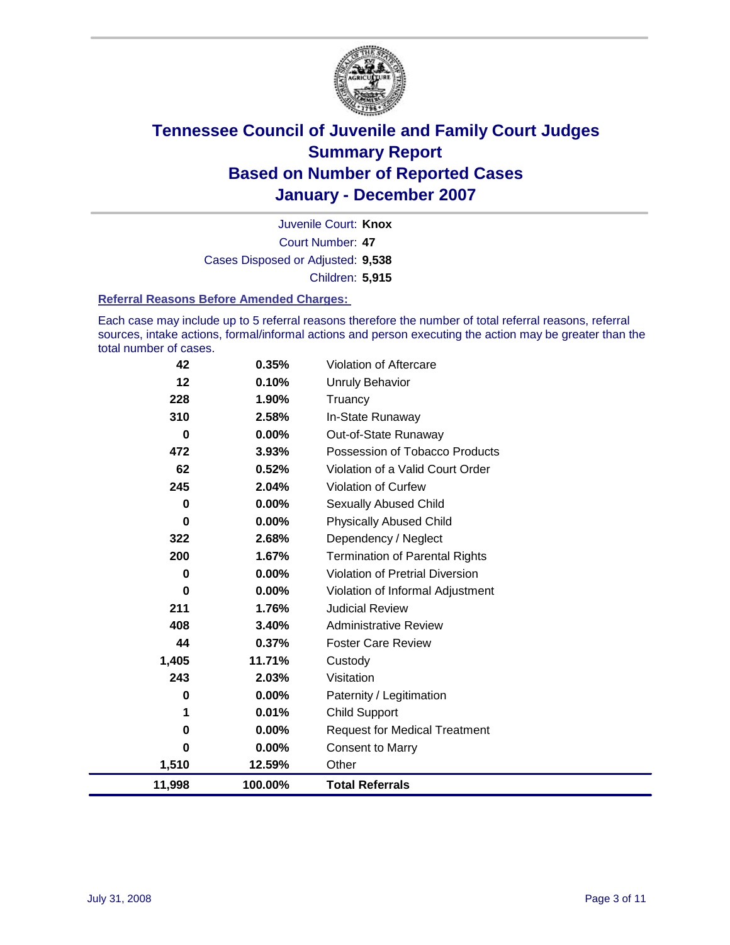

Court Number: **47** Juvenile Court: **Knox** Cases Disposed or Adjusted: **9,538** Children: **5,915**

#### **Referral Reasons Before Amended Charges:**

Each case may include up to 5 referral reasons therefore the number of total referral reasons, referral sources, intake actions, formal/informal actions and person executing the action may be greater than the total number of cases.

| 11,998 | 100.00%  | <b>Total Referrals</b>                 |
|--------|----------|----------------------------------------|
| 1,510  | 12.59%   | Other                                  |
| 0      | $0.00\%$ | Consent to Marry                       |
| 0      | $0.00\%$ | <b>Request for Medical Treatment</b>   |
| 1      | 0.01%    | <b>Child Support</b>                   |
| 0      | $0.00\%$ | Paternity / Legitimation               |
| 243    | 2.03%    | Visitation                             |
| 1,405  | 11.71%   | Custody                                |
| 44     | 0.37%    | <b>Foster Care Review</b>              |
| 408    | 3.40%    | <b>Administrative Review</b>           |
| 211    | 1.76%    | <b>Judicial Review</b>                 |
| 0      | $0.00\%$ | Violation of Informal Adjustment       |
| 0      | 0.00%    | <b>Violation of Pretrial Diversion</b> |
| 200    | 1.67%    | <b>Termination of Parental Rights</b>  |
| 322    | 2.68%    | Dependency / Neglect                   |
| 0      | 0.00%    | <b>Physically Abused Child</b>         |
| 0      | $0.00\%$ | Sexually Abused Child                  |
| 245    | 2.04%    | <b>Violation of Curfew</b>             |
| 62     | 0.52%    | Violation of a Valid Court Order       |
| 472    | 3.93%    | Possession of Tobacco Products         |
| 0      | $0.00\%$ | Out-of-State Runaway                   |
| 310    | 2.58%    | In-State Runaway                       |
| 228    | 1.90%    | Truancy                                |
| 12     | 0.10%    | <b>Unruly Behavior</b>                 |
| 42     | 0.35%    | Violation of Aftercare                 |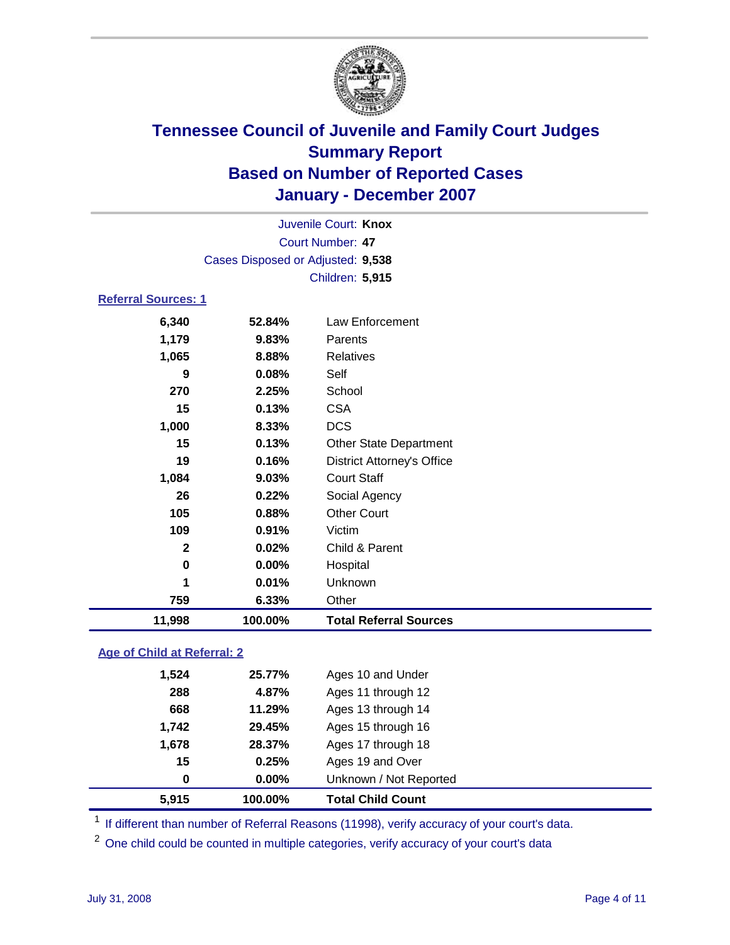

|                                   | Juvenile Court: Knox |                                   |  |  |  |
|-----------------------------------|----------------------|-----------------------------------|--|--|--|
|                                   | Court Number: 47     |                                   |  |  |  |
| Cases Disposed or Adjusted: 9,538 |                      |                                   |  |  |  |
|                                   |                      | Children: 5,915                   |  |  |  |
| <b>Referral Sources: 1</b>        |                      |                                   |  |  |  |
| 6,340                             | 52.84%               | Law Enforcement                   |  |  |  |
| 1,179                             | 9.83%                | Parents                           |  |  |  |
| 1,065                             | 8.88%                | <b>Relatives</b>                  |  |  |  |
| 9                                 | 0.08%                | Self                              |  |  |  |
| 270                               | 2.25%                | School                            |  |  |  |
| 15                                | 0.13%                | <b>CSA</b>                        |  |  |  |
| 1,000                             | 8.33%                | <b>DCS</b>                        |  |  |  |
| 15                                | 0.13%                | <b>Other State Department</b>     |  |  |  |
| 19                                | 0.16%                | <b>District Attorney's Office</b> |  |  |  |
| 1,084                             | 9.03%                | <b>Court Staff</b>                |  |  |  |
| 26                                | 0.22%                | Social Agency                     |  |  |  |
| 105                               | 0.88%                | <b>Other Court</b>                |  |  |  |
| 109                               | 0.91%                | Victim                            |  |  |  |
| $\mathbf{2}$                      | 0.02%                | Child & Parent                    |  |  |  |
| $\bf{0}$                          | 0.00%                | Hospital                          |  |  |  |
| 1                                 | 0.01%                | Unknown                           |  |  |  |
| 759                               | 6.33%                | Other                             |  |  |  |
| 11,998                            | 100.00%              | <b>Total Referral Sources</b>     |  |  |  |

### **Age of Child at Referral: 2**

| 15<br>0 | 0.25%<br>$0.00\%$ | Ages 19 and Over<br>Unknown / Not Reported |  |
|---------|-------------------|--------------------------------------------|--|
|         |                   |                                            |  |
|         |                   |                                            |  |
|         | 28.37%            | Ages 17 through 18                         |  |
| 1,742   | 29.45%            | Ages 15 through 16                         |  |
| 668     | 11.29%            | Ages 13 through 14                         |  |
| 288     | 4.87%             | Ages 11 through 12                         |  |
| 1,524   | 25.77%            | Ages 10 and Under                          |  |
|         | 1,678             |                                            |  |

<sup>1</sup> If different than number of Referral Reasons (11998), verify accuracy of your court's data.

<sup>2</sup> One child could be counted in multiple categories, verify accuracy of your court's data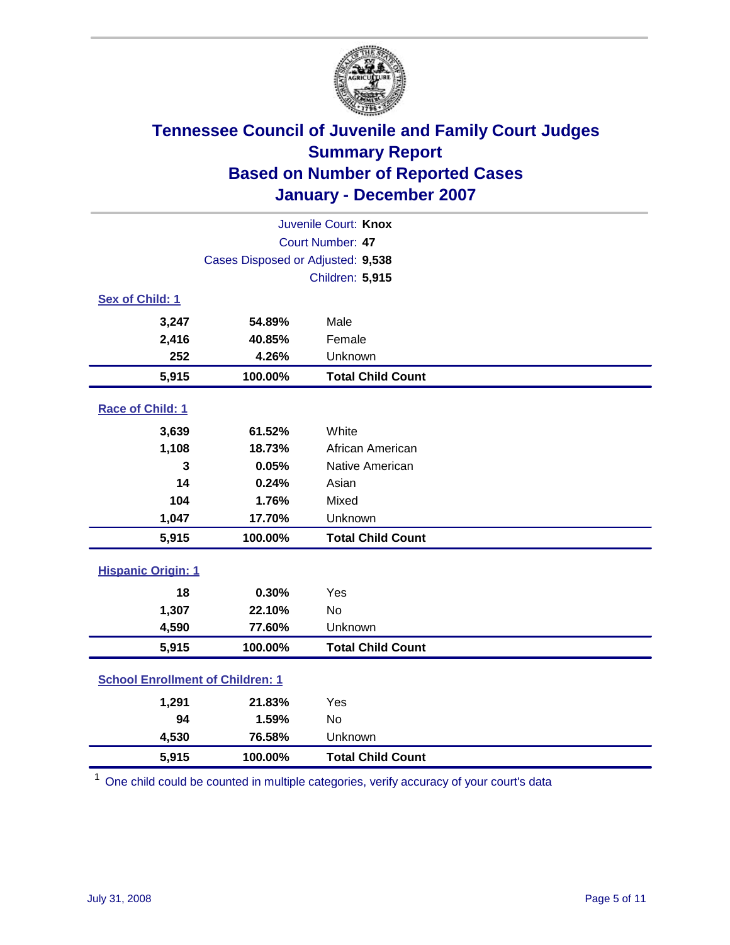

| Juvenile Court: Knox                    |                                   |                          |  |  |
|-----------------------------------------|-----------------------------------|--------------------------|--|--|
| Court Number: 47                        |                                   |                          |  |  |
|                                         | Cases Disposed or Adjusted: 9,538 |                          |  |  |
|                                         |                                   | Children: 5,915          |  |  |
| Sex of Child: 1                         |                                   |                          |  |  |
| 3,247                                   | 54.89%                            | Male                     |  |  |
| 2,416                                   | 40.85%                            | Female                   |  |  |
| 252                                     | 4.26%                             | Unknown                  |  |  |
| 5,915                                   | 100.00%                           | <b>Total Child Count</b> |  |  |
| Race of Child: 1                        |                                   |                          |  |  |
| 3,639                                   | 61.52%                            | White                    |  |  |
| 1,108                                   | 18.73%                            | African American         |  |  |
| 3                                       | 0.05%                             | Native American          |  |  |
| 14                                      | 0.24%                             | Asian                    |  |  |
| 104                                     | 1.76%                             | Mixed                    |  |  |
| 1,047                                   | 17.70%                            | Unknown                  |  |  |
| 5,915                                   | 100.00%                           | <b>Total Child Count</b> |  |  |
| <b>Hispanic Origin: 1</b>               |                                   |                          |  |  |
| 18                                      | 0.30%                             | Yes                      |  |  |
| 1,307                                   | 22.10%                            | <b>No</b>                |  |  |
| 4,590                                   | 77.60%                            | Unknown                  |  |  |
| 5,915                                   | 100.00%                           | <b>Total Child Count</b> |  |  |
| <b>School Enrollment of Children: 1</b> |                                   |                          |  |  |
| 1,291                                   | 21.83%                            | Yes                      |  |  |
| 94                                      | 1.59%                             | No                       |  |  |
| 4,530                                   | 76.58%                            | Unknown                  |  |  |
| 5,915                                   | 100.00%                           | <b>Total Child Count</b> |  |  |

<sup>1</sup> One child could be counted in multiple categories, verify accuracy of your court's data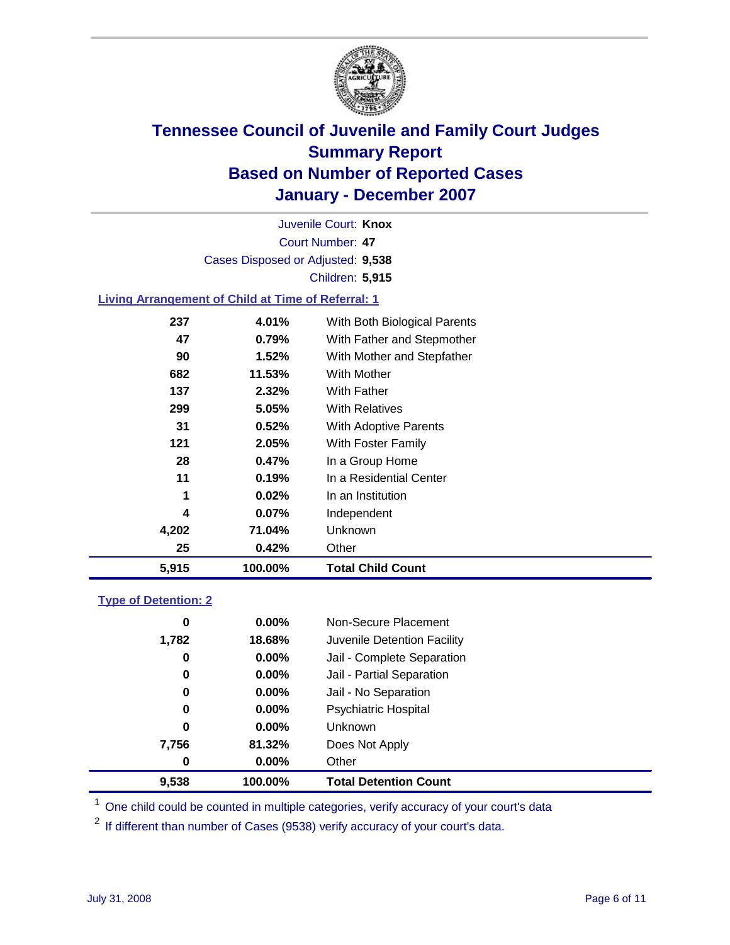

Court Number: **47** Juvenile Court: **Knox** Cases Disposed or Adjusted: **9,538** Children: **5,915**

### **Living Arrangement of Child at Time of Referral: 1**

| 5,915 | 100.00%  | <b>Total Child Count</b>     |
|-------|----------|------------------------------|
| 25    | 0.42%    | Other                        |
| 4,202 | 71.04%   | Unknown                      |
| 4     | $0.07\%$ | Independent                  |
| 1     | 0.02%    | In an Institution            |
| 11    | 0.19%    | In a Residential Center      |
| 28    | 0.47%    | In a Group Home              |
| 121   | 2.05%    | With Foster Family           |
| 31    | 0.52%    | With Adoptive Parents        |
| 299   | 5.05%    | <b>With Relatives</b>        |
| 137   | 2.32%    | <b>With Father</b>           |
| 682   | 11.53%   | With Mother                  |
| 90    | 1.52%    | With Mother and Stepfather   |
| 47    | 0.79%    | With Father and Stepmother   |
| 237   | 4.01%    | With Both Biological Parents |
|       |          |                              |

#### **Type of Detention: 2**

| 9,538 | 100.00%  | <b>Total Detention Count</b> |  |
|-------|----------|------------------------------|--|
| 0     | $0.00\%$ | Other                        |  |
| 7,756 | 81.32%   | Does Not Apply               |  |
| 0     | $0.00\%$ | Unknown                      |  |
| 0     | 0.00%    | <b>Psychiatric Hospital</b>  |  |
| 0     | $0.00\%$ | Jail - No Separation         |  |
| 0     | $0.00\%$ | Jail - Partial Separation    |  |
| 0     | $0.00\%$ | Jail - Complete Separation   |  |
| 1,782 | 18.68%   | Juvenile Detention Facility  |  |
| 0     | $0.00\%$ | Non-Secure Placement         |  |
|       |          |                              |  |

<sup>1</sup> One child could be counted in multiple categories, verify accuracy of your court's data

<sup>2</sup> If different than number of Cases (9538) verify accuracy of your court's data.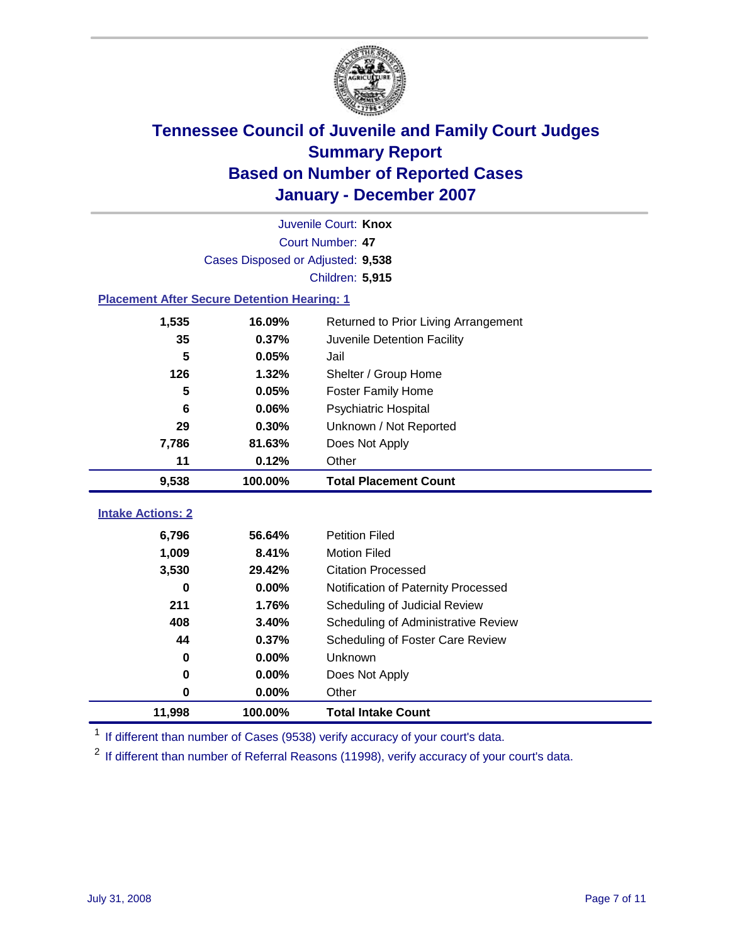

|                                                    | Juvenile Court: Knox              |                                      |  |  |  |
|----------------------------------------------------|-----------------------------------|--------------------------------------|--|--|--|
|                                                    | Court Number: 47                  |                                      |  |  |  |
|                                                    | Cases Disposed or Adjusted: 9,538 |                                      |  |  |  |
|                                                    |                                   | Children: 5,915                      |  |  |  |
| <b>Placement After Secure Detention Hearing: 1</b> |                                   |                                      |  |  |  |
| 1,535                                              | 16.09%                            | Returned to Prior Living Arrangement |  |  |  |
| 35                                                 | 0.37%                             | Juvenile Detention Facility          |  |  |  |
| 5                                                  | 0.05%                             | Jail                                 |  |  |  |
| 126                                                | 1.32%                             | Shelter / Group Home                 |  |  |  |
| 5                                                  | 0.05%                             | <b>Foster Family Home</b>            |  |  |  |
| 6                                                  | 0.06%                             | Psychiatric Hospital                 |  |  |  |
| 29                                                 | 0.30%                             | Unknown / Not Reported               |  |  |  |
| 7,786                                              | 81.63%                            | Does Not Apply                       |  |  |  |
| 11                                                 | 0.12%                             | Other                                |  |  |  |
| 9,538                                              | 100.00%                           | <b>Total Placement Count</b>         |  |  |  |
|                                                    |                                   |                                      |  |  |  |
| <b>Intake Actions: 2</b>                           |                                   |                                      |  |  |  |
| 6,796                                              | 56.64%                            | <b>Petition Filed</b>                |  |  |  |
| 1,009                                              | 8.41%                             | <b>Motion Filed</b>                  |  |  |  |
| 3,530                                              | 29.42%                            | <b>Citation Processed</b>            |  |  |  |
| 0                                                  | 0.00%                             | Notification of Paternity Processed  |  |  |  |
| 211                                                | 1.76%                             | Scheduling of Judicial Review        |  |  |  |
| 408                                                | 3.40%                             | Scheduling of Administrative Review  |  |  |  |
| 44                                                 | 0.37%                             | Scheduling of Foster Care Review     |  |  |  |
| 0                                                  | 0.00%                             | Unknown                              |  |  |  |
| 0                                                  | 0.00%                             | Does Not Apply                       |  |  |  |
| 0                                                  | 0.00%                             | Other                                |  |  |  |
| 11,998                                             | 100.00%                           | <b>Total Intake Count</b>            |  |  |  |

<sup>1</sup> If different than number of Cases (9538) verify accuracy of your court's data.

<sup>2</sup> If different than number of Referral Reasons (11998), verify accuracy of your court's data.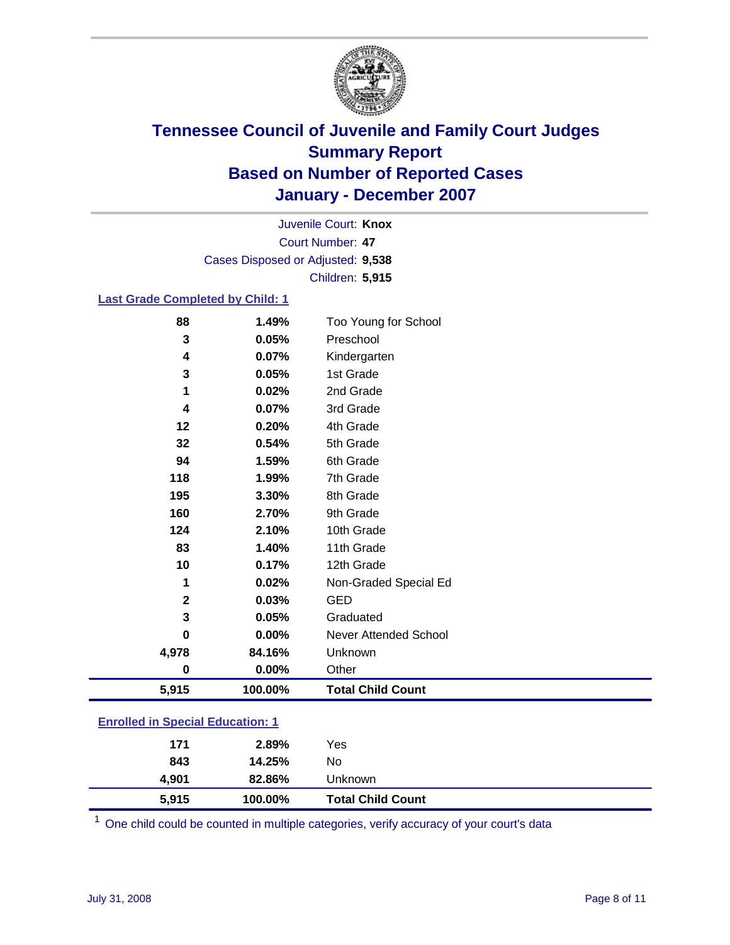

Court Number: **47** Juvenile Court: **Knox** Cases Disposed or Adjusted: **9,538** Children: **5,915**

### **Last Grade Completed by Child: 1**

| 5,915        | 100.00%  | <b>Total Child Count</b> |
|--------------|----------|--------------------------|
| $\bf{0}$     | $0.00\%$ | Other                    |
| 4,978        | 84.16%   | Unknown                  |
| 0            | 0.00%    | Never Attended School    |
| 3            | 0.05%    | Graduated                |
| $\mathbf{2}$ | 0.03%    | GED                      |
| 1            | 0.02%    | Non-Graded Special Ed    |
| 10           | 0.17%    | 12th Grade               |
| 83           | 1.40%    | 11th Grade               |
| 124          | 2.10%    | 10th Grade               |
| 160          | 2.70%    | 9th Grade                |
| 195          | 3.30%    | 8th Grade                |
| 118          | 1.99%    | 7th Grade                |
| 94           | 1.59%    | 6th Grade                |
| 32           | 0.54%    | 5th Grade                |
| 12           | 0.20%    | 4th Grade                |
| 4            | 0.07%    | 3rd Grade                |
| 1            | 0.02%    | 2nd Grade                |
| 3            | 0.05%    | 1st Grade                |
| 4            | 0.07%    | Kindergarten             |
| 3            | 0.05%    | Preschool                |
| 88           | 1.49%    | Too Young for School     |

### **Enrolled in Special Education: 1**

| 5,915 | 100.00% | <b>Total Child Count</b> |  |
|-------|---------|--------------------------|--|
| 4.901 | 82.86%  | Unknown                  |  |
| 843   | 14.25%  | No                       |  |
| 171   | 2.89%   | Yes                      |  |
|       |         |                          |  |

<sup>1</sup> One child could be counted in multiple categories, verify accuracy of your court's data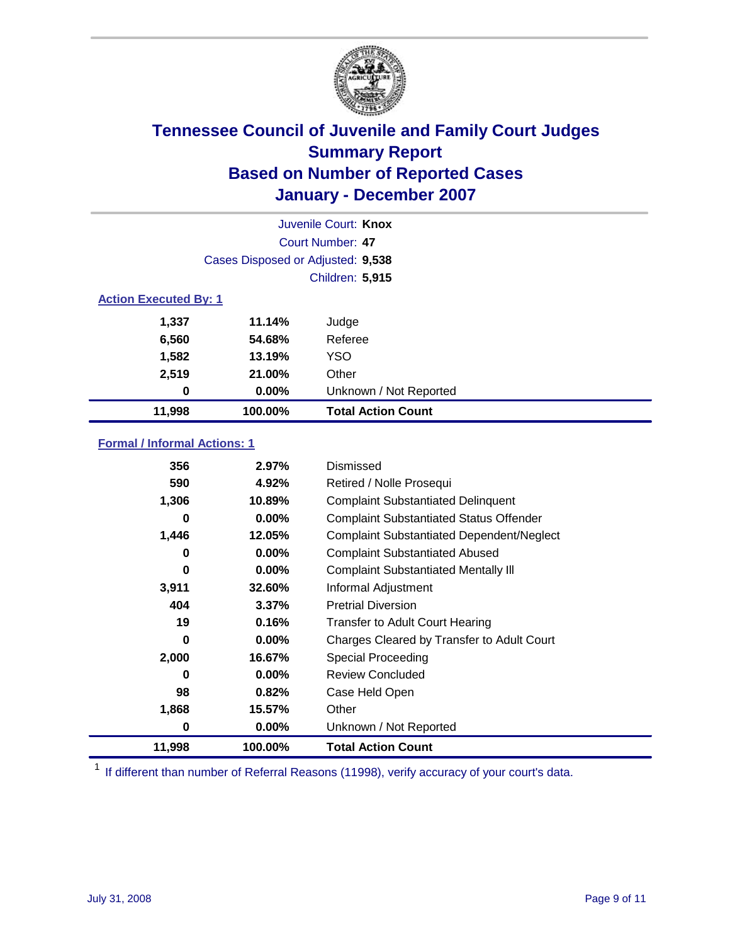

| Juvenile Court: Knox         |                                   |                           |  |  |  |
|------------------------------|-----------------------------------|---------------------------|--|--|--|
|                              | Court Number: 47                  |                           |  |  |  |
|                              | Cases Disposed or Adjusted: 9,538 |                           |  |  |  |
|                              |                                   | <b>Children: 5,915</b>    |  |  |  |
| <b>Action Executed By: 1</b> |                                   |                           |  |  |  |
| 1,337                        | 11.14%                            | Judge                     |  |  |  |
| 6,560                        | 54.68%                            | Referee                   |  |  |  |
| 1,582                        | 13.19%                            | <b>YSO</b>                |  |  |  |
| 2,519                        | 21.00%                            | Other                     |  |  |  |
| 0                            | $0.00\%$                          | Unknown / Not Reported    |  |  |  |
| 11,998                       | 100.00%                           | <b>Total Action Count</b> |  |  |  |

### **Formal / Informal Actions: 1**

| 356    | 2.97%    | Dismissed                                        |
|--------|----------|--------------------------------------------------|
| 590    | 4.92%    | Retired / Nolle Prosequi                         |
| 1,306  | 10.89%   | <b>Complaint Substantiated Delinquent</b>        |
| 0      | $0.00\%$ | <b>Complaint Substantiated Status Offender</b>   |
| 1,446  | 12.05%   | <b>Complaint Substantiated Dependent/Neglect</b> |
| 0      | $0.00\%$ | <b>Complaint Substantiated Abused</b>            |
| 0      | $0.00\%$ | <b>Complaint Substantiated Mentally III</b>      |
| 3,911  | 32.60%   | Informal Adjustment                              |
| 404    | 3.37%    | <b>Pretrial Diversion</b>                        |
| 19     | 0.16%    | <b>Transfer to Adult Court Hearing</b>           |
| 0      | $0.00\%$ | Charges Cleared by Transfer to Adult Court       |
| 2,000  | 16.67%   | Special Proceeding                               |
| 0      | $0.00\%$ | <b>Review Concluded</b>                          |
| 98     | 0.82%    | Case Held Open                                   |
| 1,868  | 15.57%   | Other                                            |
| 0      | 0.00%    | Unknown / Not Reported                           |
| 11,998 | 100.00%  | <b>Total Action Count</b>                        |

<sup>1</sup> If different than number of Referral Reasons (11998), verify accuracy of your court's data.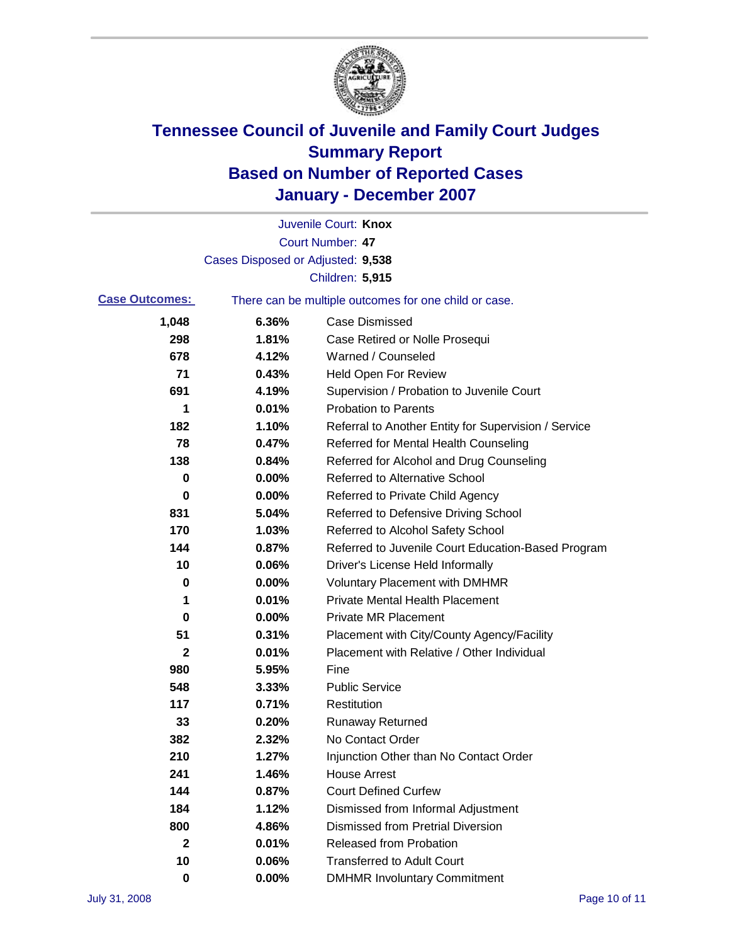

|                       |                                   | Juvenile Court: Knox                                  |
|-----------------------|-----------------------------------|-------------------------------------------------------|
|                       |                                   | <b>Court Number: 47</b>                               |
|                       | Cases Disposed or Adjusted: 9,538 |                                                       |
|                       |                                   | Children: 5,915                                       |
| <b>Case Outcomes:</b> |                                   | There can be multiple outcomes for one child or case. |
| 1,048                 | 6.36%                             | <b>Case Dismissed</b>                                 |
| 298                   | 1.81%                             | Case Retired or Nolle Prosequi                        |
| 678                   | 4.12%                             | Warned / Counseled                                    |
| 71                    | 0.43%                             | <b>Held Open For Review</b>                           |
| 691                   | 4.19%                             | Supervision / Probation to Juvenile Court             |
| 1                     | 0.01%                             | <b>Probation to Parents</b>                           |
| 182                   | 1.10%                             | Referral to Another Entity for Supervision / Service  |
| 78                    | 0.47%                             | Referred for Mental Health Counseling                 |
| 138                   | 0.84%                             | Referred for Alcohol and Drug Counseling              |
| 0                     | 0.00%                             | <b>Referred to Alternative School</b>                 |
| 0                     | 0.00%                             | Referred to Private Child Agency                      |
| 831                   | 5.04%                             | Referred to Defensive Driving School                  |
| 170                   | 1.03%                             | Referred to Alcohol Safety School                     |
| 144                   | 0.87%                             | Referred to Juvenile Court Education-Based Program    |
| 10                    | 0.06%                             | Driver's License Held Informally                      |
| 0                     | 0.00%                             | <b>Voluntary Placement with DMHMR</b>                 |
| 1                     | 0.01%                             | <b>Private Mental Health Placement</b>                |
| 0                     | 0.00%                             | <b>Private MR Placement</b>                           |
| 51                    | 0.31%                             | Placement with City/County Agency/Facility            |
| 2                     | 0.01%                             | Placement with Relative / Other Individual            |
| 980                   | 5.95%                             | Fine                                                  |
| 548                   | 3.33%                             | <b>Public Service</b>                                 |
| 117                   | 0.71%                             | Restitution                                           |
| 33                    | 0.20%                             | <b>Runaway Returned</b>                               |
| 382                   | 2.32%                             | No Contact Order                                      |
| 210                   | 1.27%                             | Injunction Other than No Contact Order                |
| 241                   | 1.46%                             | <b>House Arrest</b>                                   |
| 144                   | 0.87%                             | <b>Court Defined Curfew</b>                           |
| 184                   | 1.12%                             | Dismissed from Informal Adjustment                    |
| 800                   | 4.86%                             | <b>Dismissed from Pretrial Diversion</b>              |
| $\mathbf{2}$          | 0.01%                             | <b>Released from Probation</b>                        |
| 10                    | 0.06%                             | <b>Transferred to Adult Court</b>                     |
| 0                     | $0.00\%$                          | <b>DMHMR Involuntary Commitment</b>                   |